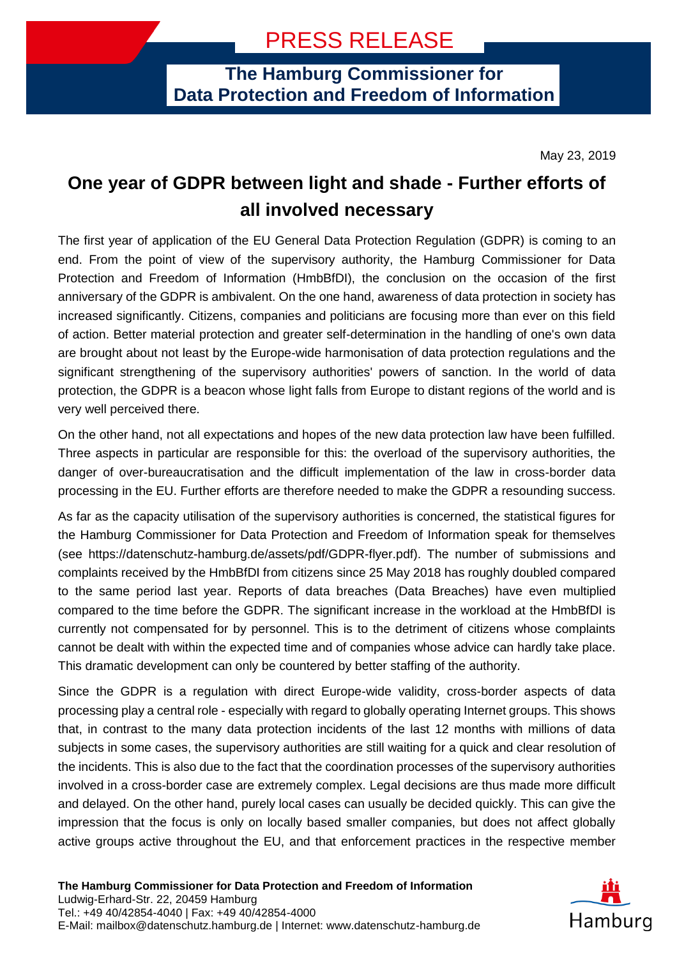**The Hamburg Commissioner for Data Protection and Freedom of Information**

May 23, 2019

## **One year of GDPR between light and shade - Further efforts of all involved necessary**

The first year of application of the EU General Data Protection Regulation (GDPR) is coming to an end. From the point of view of the supervisory authority, the Hamburg Commissioner for Data Protection and Freedom of Information (HmbBfDI), the conclusion on the occasion of the first anniversary of the GDPR is ambivalent. On the one hand, awareness of data protection in society has increased significantly. Citizens, companies and politicians are focusing more than ever on this field of action. Better material protection and greater self-determination in the handling of one's own data are brought about not least by the Europe-wide harmonisation of data protection regulations and the significant strengthening of the supervisory authorities' powers of sanction. In the world of data protection, the GDPR is a beacon whose light falls from Europe to distant regions of the world and is very well perceived there.

On the other hand, not all expectations and hopes of the new data protection law have been fulfilled. Three aspects in particular are responsible for this: the overload of the supervisory authorities, the danger of over-bureaucratisation and the difficult implementation of the law in cross-border data processing in the EU. Further efforts are therefore needed to make the GDPR a resounding success.

As far as the capacity utilisation of the supervisory authorities is concerned, the statistical figures for the Hamburg Commissioner for Data Protection and Freedom of Information speak for themselves (see https://datenschutz-hamburg.de/assets/pdf/GDPR-flyer.pdf). The number of submissions and complaints received by the HmbBfDI from citizens since 25 May 2018 has roughly doubled compared to the same period last year. Reports of data breaches (Data Breaches) have even multiplied compared to the time before the GDPR. The significant increase in the workload at the HmbBfDI is currently not compensated for by personnel. This is to the detriment of citizens whose complaints cannot be dealt with within the expected time and of companies whose advice can hardly take place. This dramatic development can only be countered by better staffing of the authority.

Since the GDPR is a regulation with direct Europe-wide validity, cross-border aspects of data processing play a central role - especially with regard to globally operating Internet groups. This shows that, in contrast to the many data protection incidents of the last 12 months with millions of data subjects in some cases, the supervisory authorities are still waiting for a quick and clear resolution of the incidents. This is also due to the fact that the coordination processes of the supervisory authorities involved in a cross-border case are extremely complex. Legal decisions are thus made more difficult and delayed. On the other hand, purely local cases can usually be decided quickly. This can give the impression that the focus is only on locally based smaller companies, but does not affect globally active groups active throughout the EU, and that enforcement practices in the respective member